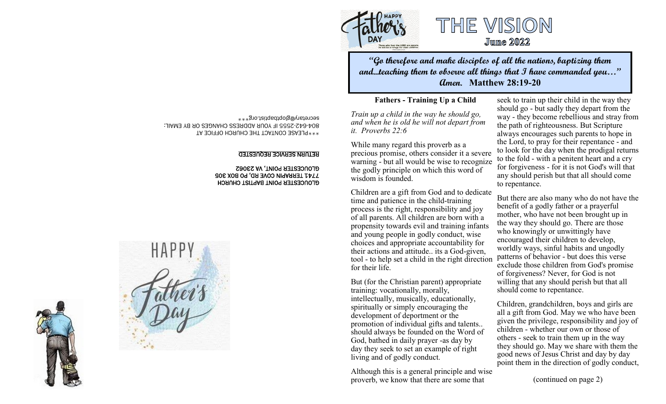

## THE VISION **Jume 2022**

**"Go therefore and make disciples of all the nations, baptizing them and...teaching them to observe all things that I have commanded you…" Amen. Matthew 28:19-20**

#### **Fathers - Training Up a Child**

*Train up a child in the way he should go, and when he is old he will not depart from it. Proverbs 22:6*

While many regard this proverb as a precious promise, others consider it a severe warning - but all would be wise to recognize the godly principle on which this word of wisdom is founded.

Children are a gift from God and to dedicate time and patience in the child-training process is the right, responsibility and joy of all parents. All children are born with a propensity towards evil and training infants and young people in godly conduct, wise choices and appropriate accountability for their actions and attitude.. its a God-given, tool - to help set a child in the right direction for their life.

But (for the Christian parent) appropriate training: vocationally, morally, intellectually, musically, educationally, spiritually or simply encouraging the development of deportment or the promotion of individual gifts and talents.. should always be founded on the Word of God, bathed in daily prayer -as day by day they seek to set an example of right living and of godly conduct.

Although this is a general principle and wise proverb, we know that there are some that

seek to train up their child in the way they should go - but sadly they depart from the way - they become rebellious and stray from the path of righteousness. But Scripture always encourages such parents to hope in the Lord, to pray for their repentance - and to look for the day when the prodigal returns to the fold - with a penitent heart and a cry for forgiveness - for it is not God's will that any should perish but that all should come to repentance.

But there are also many who do not have the benefit of a godly father or a prayerful mother, who have not been brought up in the way they should go. There are those who knowingly or unwittingly have encouraged their children to develop, worldly ways, sinful habits and ungodly patterns of behavior - but does this verse exclude those children from God's promise of forgiveness? Never, for God is not willing that any should perish but that all should come to repentance.

Children, grandchildren, boys and girls are all a gift from God. May we who have been given the privilege, responsibility and joy of children - whether our own or those of others - seek to train them up in the way they should go. May we share with them the good news of Jesus Christ and day by day point them in the direction of godly conduct,

(continued on page 2)

\*\*\*PLEASE CONTACT THE CHURCH OFFICE AT 2555 IF YOUR ADDRESS CHANGES OR BY EMAIL: - 642 - 804 secretary@gloptbaptist.org\*\*\*

#### RETURN SERVICE REQUESTED

#### GLOUCESTER POINT BAPTIST CHURCH 7741 TERRAPIN COVE RD, PO BOX 305 GLOUCESTER POINT, VA 23062



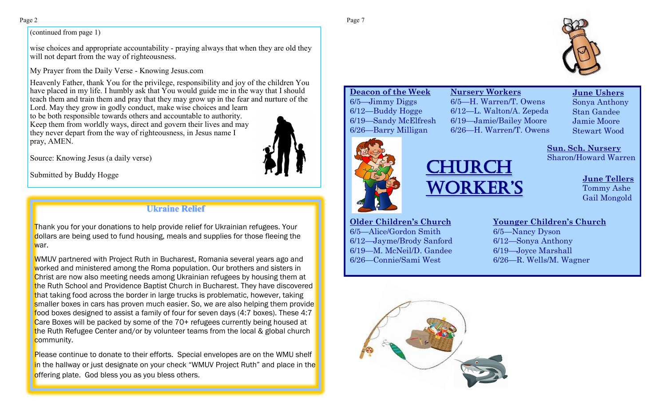#### (continued from page 1)

wise choices and appropriate accountability - praying always that when they are old they will not depart from the way of righteousness.

My Prayer from the Daily Verse - Knowing Jesus.com

Heavenly Father, thank You for the privilege, responsibility and joy of the children You have placed in my life. I humbly ask that You would guide me in the way that I should teach them and train them and pray that they may grow up in the fear and nurture of the

Lord. May they grow in godly conduct, make wise choices and learn to be both responsible towards others and accountable to authority. Keep them from worldly ways, direct and govern their lives and may they never depart from the way of righteousness, in Jesus name I pray, AMEN.

Source: Knowing Jesus (a daily verse)

### **Ukraine Relief**

Thank you for your donations to help provide relief for Ukrainian refugees. Your dollars are being used to fund housing, meals and supplies for those fleeing the war.

WMUV partnered with Project Ruth in Bucharest, Romania several years ago and worked and ministered among the Roma population. Our brothers and sisters in Christ are now also meeting needs among Ukrainian refugees by housing them at the Ruth School and Providence Baptist Church in Bucharest. They have discovered that taking food across the border in large trucks is problematic, however, taking smaller boxes in cars has proven much easier. So, we are also helping them provide food boxes designed to assist a family of four for seven days (4:7 boxes). These 4:7 Care Boxes will be packed by some of the 70+ refugees currently being housed at the Ruth Refugee Center and/or by volunteer teams from the local & global church community.

Please continue to donate to their efforts. Special envelopes are on the WMU shelf in the hallway or just designate on your check "WMUV Project Ruth" and place in the offering plate. God bless you as you bless others.

**Deacon of the Week** 6/5—Jimmy Diggs 6/12—Buddy Hogge 6/19—Sandy McElfresh 6/26—Barry Milligan

**Nursery Workers** 6/5—H. Warren/T. Owens 6/12—L. Walton/A. Zepeda 6/19—Jamie/Bailey Moore 6/26—H. Warren/T. Owens

 **June Ushers** Sonya Anthony Stan Gandee Jamie Moore Stewart Wood

**Sun. Sch. Nursery** Sharon/Howard Warren



# Source: Knowing Jesus (a daily verse)<br>Submitted by Buddy Hogge **CHURCH** Worker'S

**June Tellers** Tommy Ashe Gail Mongold

**Older Children's Church** 6/5—Alice/Gordon Smith 6/12—Jayme/Brody Sanford 6/19—M. McNeil/D. Gandee 6/26—Connie/Sami West

#### **Younger Children's Church**

6/5—Nancy Dyson 6/12—Sonya Anthony 6/19—Joyce Marshall 6/26—R. Wells/M. Wagner

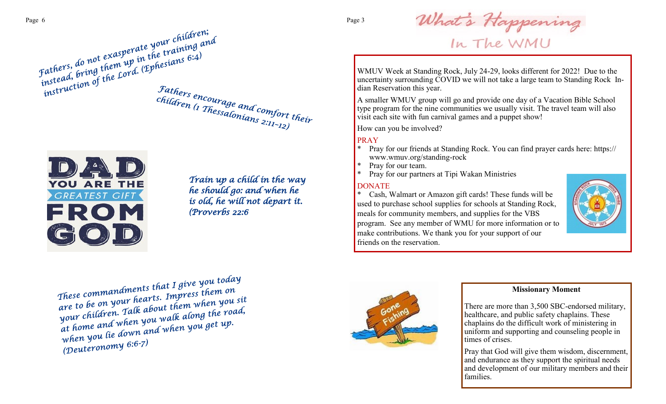



*Train up a child in the way he should go: and when he is old, he will not depart it. (Proverbs 22:6* 

What's Happening<br>In The WMU

WMUV Week at Standing Rock, July 24-29, looks different for 2022! Due to the uncertainty surrounding COVID we will not take a large team to Standing Rock Indian Reservation this year.

A smaller WMUV group will go and provide one day of a Vacation Bible School type program for the nine communities we usually visit. The travel team will also visit each site with fun carnival games and a puppet show!

How can you be involved?

#### PRAY

- Pray for our friends at Standing Rock. You can find prayer cards here: https:// www.wmuv.org/standing-rock
- \* Pray for our team.
- Pray for our partners at Tipi Wakan Ministries

#### DONATE

Cash, Walmart or Amazon gift cards! These funds will be used to purchase school supplies for schools at Standing Rock, meals for community members, and supplies for the VBS program. See any member of WMU for more information or to make contributions. We thank you for your support of our friends on the reservation.



These commandments that I give you today<br>These commandments that I give you today These commandments that I give you come.<br>are to be on your hearts. Impress them on<br>c:Comen Talk about them when you s These communitiests. Impress them on<br>are to be on your hearts. Impress them you sit<br>your children. Talk about them when you sit<br>your children. Talk about them when you alt up. are to be on your in about them when you see<br>your children. Talk about them when you read,<br>at home and when you walk along the road, your chuurent<br>at home and when you walk along the 1<br>when you lie down and when you get up.<br>when you lie down and when you get up. when you we we will<br>(Deuteronomy 6:6-7)



#### **Missionary Moment**

There are more than 3,500 SBC-endorsed military, healthcare, and public safety chaplains. These chaplains do the difficult work of ministering in uniform and supporting and counseling people in times of crises.

Pray that God will give them wisdom, discernment, and endurance as they support the spiritual needs and development of our military members and their families.